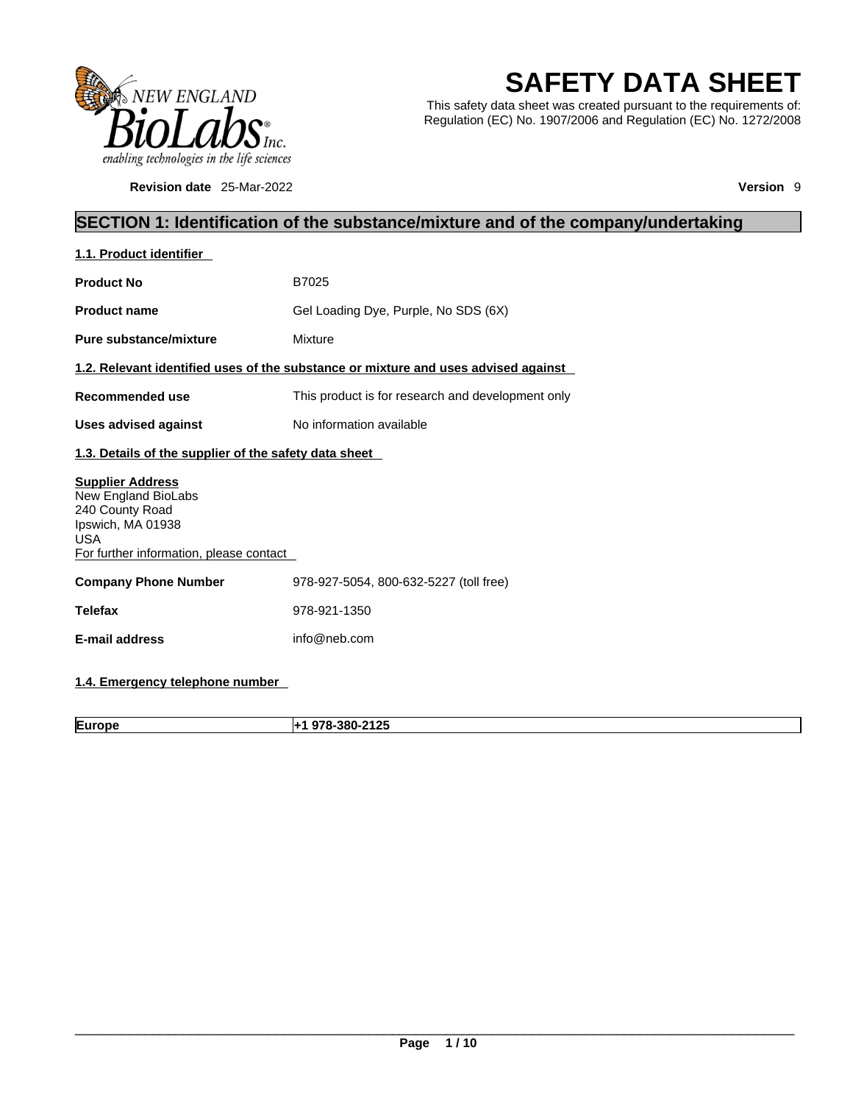

**Revision date** 25-Mar-2022 **Version** 9

# **SAFETY DATA SHEET**

This safety data sheet was created pursuant to the requirements of: Regulation (EC) No. 1907/2006 and Regulation (EC) No. 1272/2008

# **SECTION 1: Identification of the substance/mixture and of the company/undertaking**

| 1.1. Product identifier                                                                                                                         |                                                                                    |
|-------------------------------------------------------------------------------------------------------------------------------------------------|------------------------------------------------------------------------------------|
| <b>Product No</b>                                                                                                                               | B7025                                                                              |
| <b>Product name</b>                                                                                                                             | Gel Loading Dye, Purple, No SDS (6X)                                               |
| Pure substance/mixture                                                                                                                          | Mixture                                                                            |
|                                                                                                                                                 | 1.2. Relevant identified uses of the substance or mixture and uses advised against |
| Recommended use                                                                                                                                 | This product is for research and development only                                  |
| <b>Uses advised against</b>                                                                                                                     | No information available                                                           |
| 1.3. Details of the supplier of the safety data sheet                                                                                           |                                                                                    |
| <b>Supplier Address</b><br>New England BioLabs<br>240 County Road<br>Ipswich, MA 01938<br><b>USA</b><br>For further information, please contact |                                                                                    |
| <b>Company Phone Number</b>                                                                                                                     | 978-927-5054, 800-632-5227 (toll free)                                             |
| <b>Telefax</b>                                                                                                                                  | 978-921-1350                                                                       |
| <b>E-mail address</b>                                                                                                                           | info@neb.com                                                                       |
|                                                                                                                                                 |                                                                                    |

# **1.4. Emergency telephone number**

**Europe +1 978-380-2125**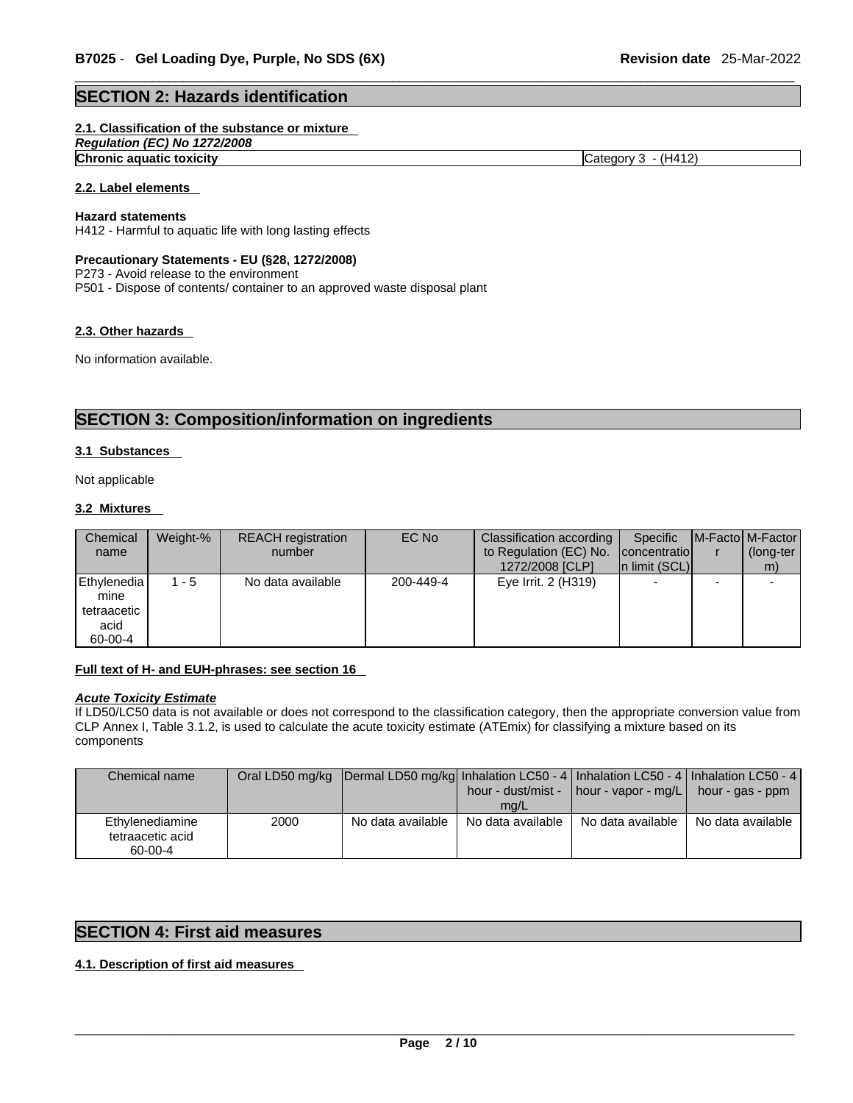### **SECTION 2: Hazards identification**

#### **2.1. Classification of the substance or mixture**

*Regulation (EC) No 1272/2008* 

**Chronic aquatic toxicity** Chronic **aquatic toxicity** Category 3 - (H412)

### **2.2. Label elements**

#### **Hazard statements**

H412 - Harmful to aquatic life with long lasting effects

#### **Precautionary Statements - EU (§28, 1272/2008)**

P273 - Avoid release to the environment

P501 - Dispose of contents/ container to an approved waste disposal plant

#### **2.3. Other hazards**

No information available.

# **SECTION 3: Composition/information on ingredients**

#### **3.1 Substances**

Not applicable

#### **3.2 Mixtures**

| Chemical<br>name                                          | Weight-% | <b>REACH</b> registration<br>number | EC No     | Classification according  <br>to Regulation (EC) No.<br>1272/2008 [CLP] | Specific<br>concentratio<br>In limit (SCL) | <b>IM-Factol M-Factor</b><br>(long-ter<br>m) |
|-----------------------------------------------------------|----------|-------------------------------------|-----------|-------------------------------------------------------------------------|--------------------------------------------|----------------------------------------------|
| l Ethvlenedia l<br>mine<br>tetraacetic<br>acid<br>60-00-4 | $1 - 5$  | No data available                   | 200-449-4 | Eye Irrit. 2 (H319)                                                     |                                            |                                              |

#### **Full text of H- and EUH-phrases: see section 16**

### *Acute Toxicity Estimate*

If LD50/LC50 data is not available or does not correspond to the classification category, then the appropriate conversion value from CLP Annex I, Table 3.1.2, is used to calculate the acute toxicity estimate (ATEmix) for classifying a mixture based on its components

| Chemical name                                  |      | Oral LD50 mg/kg  Dermal LD50 mg/kg  Inhalation LC50 - 4   Inhalation LC50 - 4   Inhalation LC50 - 4 | mg/L              | hour - dust/mist -   hour - vapor - mg/L   hour - gas - ppm |                   |
|------------------------------------------------|------|-----------------------------------------------------------------------------------------------------|-------------------|-------------------------------------------------------------|-------------------|
| Ethylenediamine<br>tetraacetic acid<br>60-00-4 | 2000 | No data available                                                                                   | No data available | No data available                                           | No data available |

### **SECTION 4: First aid measures**

### **4.1. Description of first aid measures**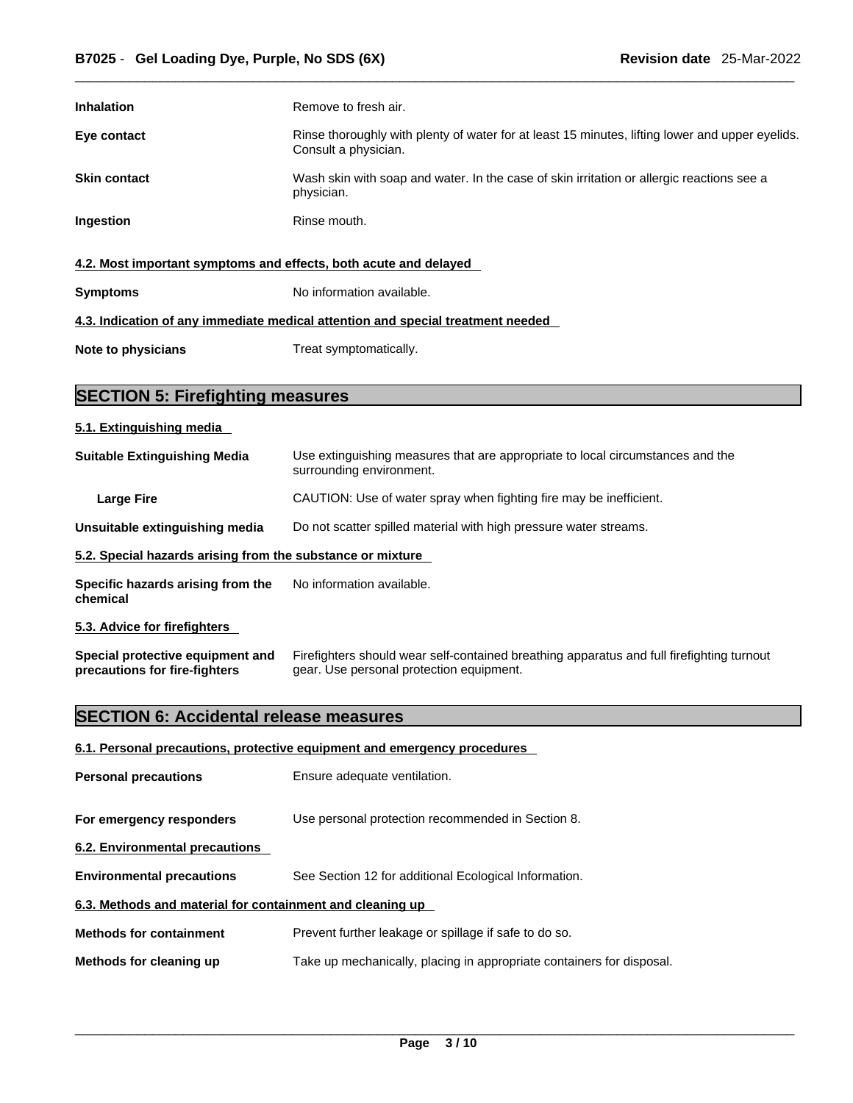| <b>Inhalation</b>                                                | Remove to fresh air.                                                                                                    |
|------------------------------------------------------------------|-------------------------------------------------------------------------------------------------------------------------|
| Eye contact                                                      | Rinse thoroughly with plenty of water for at least 15 minutes, lifting lower and upper eyelids.<br>Consult a physician. |
| <b>Skin contact</b>                                              | Wash skin with soap and water. In the case of skin irritation or allergic reactions see a<br>physician.                 |
| <b>Ingestion</b>                                                 | Rinse mouth.                                                                                                            |
| 4.2. Most important symptoms and effects, both acute and delayed |                                                                                                                         |
| <b>Symptoms</b>                                                  | No information available.                                                                                               |
|                                                                  | 4.3. Indication of any immediate medical attention and special treatment needed                                         |
| Note to physicians                                               | Treat symptomatically.                                                                                                  |

# **SECTION 5: Firefighting measures**

#### **5.1. Extinguishing media**

| <b>Suitable Extinguishing Media</b>                        | Use extinguishing measures that are appropriate to local circumstances and the<br>surrounding environment. |  |
|------------------------------------------------------------|------------------------------------------------------------------------------------------------------------|--|
| <b>Large Fire</b>                                          | CAUTION: Use of water spray when fighting fire may be inefficient.                                         |  |
| Unsuitable extinguishing media                             | Do not scatter spilled material with high pressure water streams.                                          |  |
| 5.2. Special hazards arising from the substance or mixture |                                                                                                            |  |
| Specific hazards arising from the<br>chemical              | No information available.                                                                                  |  |
| 5.3. Advice for firefighters                               |                                                                                                            |  |

**Special protective equipment and precautions for fire-fighters** Firefighters should wear self-contained breathing apparatus and full firefighting turnout gear. Use personal protection equipment.

# **SECTION 6: Accidental release measures**

#### **6.1. Personal precautions, protective equipment and emergency procedures**

| <b>Personal precautions</b>                               | Ensure adequate ventilation.                                          |  |  |
|-----------------------------------------------------------|-----------------------------------------------------------------------|--|--|
| For emergency responders                                  | Use personal protection recommended in Section 8.                     |  |  |
| 6.2. Environmental precautions                            |                                                                       |  |  |
| <b>Environmental precautions</b>                          | See Section 12 for additional Ecological Information.                 |  |  |
| 6.3. Methods and material for containment and cleaning up |                                                                       |  |  |
| <b>Methods for containment</b>                            | Prevent further leakage or spillage if safe to do so.                 |  |  |
| Methods for cleaning up                                   | Take up mechanically, placing in appropriate containers for disposal. |  |  |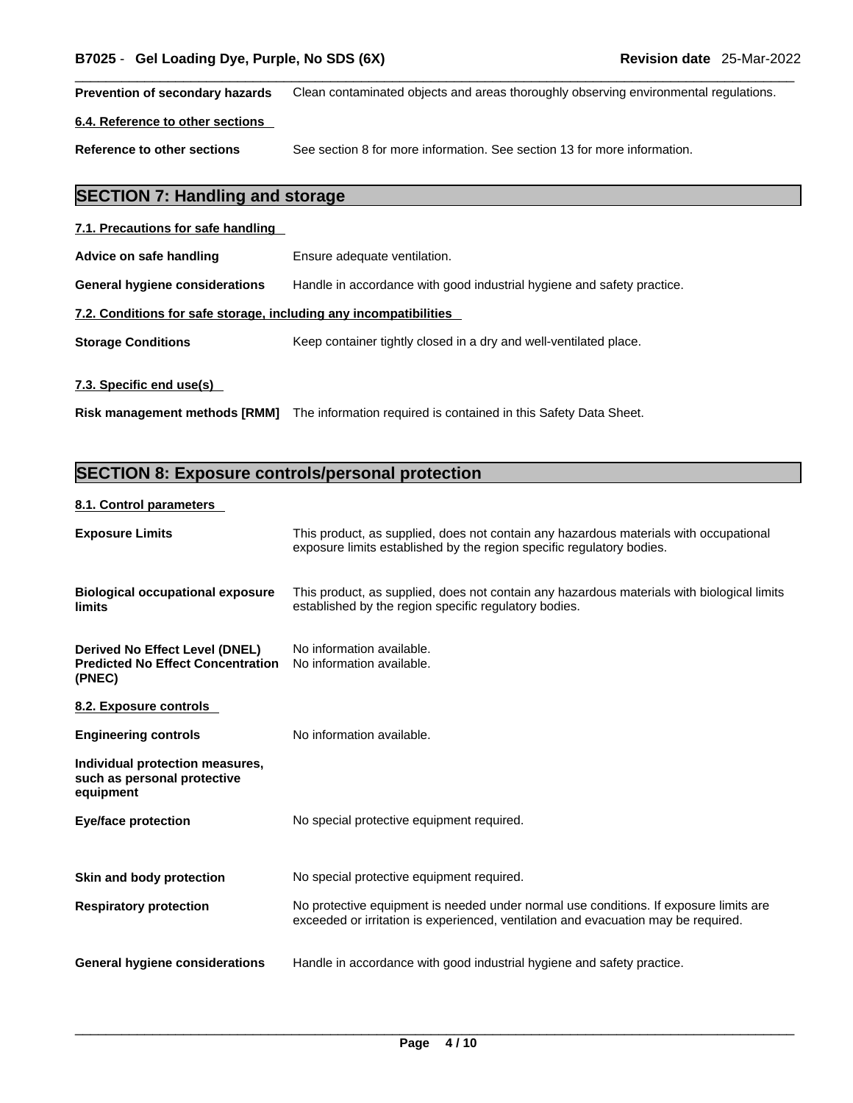**Prevention of secondary hazards** Clean contaminated objects and areas thoroughly observing environmental regulations.

#### **6.4. Reference to other sections**

**Reference to other sections** See section 8 for more information. See section 13 for more information.

# **SECTION 7: Handling and storage**

| 7.1. Precautions for safe handling                                |                                                                        |  |  |
|-------------------------------------------------------------------|------------------------------------------------------------------------|--|--|
| Advice on safe handling                                           | Ensure adequate ventilation.                                           |  |  |
| General hygiene considerations                                    | Handle in accordance with good industrial hygiene and safety practice. |  |  |
| 7.2. Conditions for safe storage, including any incompatibilities |                                                                        |  |  |
| <b>Storage Conditions</b>                                         | Keep container tightly closed in a dry and well-ventilated place.      |  |  |
| 7.3. Specific end use(s)                                          |                                                                        |  |  |

**Risk management methods [RMM]** The information required is contained in this Safety Data Sheet.

# **SECTION 8: Exposure controls/personal protection**

#### **8.1. Control parameters**

| <b>Exposure Limits</b>                                                                      | This product, as supplied, does not contain any hazardous materials with occupational<br>exposure limits established by the region specific regulatory bodies.              |
|---------------------------------------------------------------------------------------------|-----------------------------------------------------------------------------------------------------------------------------------------------------------------------------|
| <b>Biological occupational exposure</b><br>limits                                           | This product, as supplied, does not contain any hazardous materials with biological limits<br>established by the region specific regulatory bodies.                         |
| <b>Derived No Effect Level (DNEL)</b><br><b>Predicted No Effect Concentration</b><br>(PNEC) | No information available.<br>No information available.                                                                                                                      |
| 8.2. Exposure controls                                                                      |                                                                                                                                                                             |
| <b>Engineering controls</b>                                                                 | No information available.                                                                                                                                                   |
| Individual protection measures,<br>such as personal protective<br>equipment                 |                                                                                                                                                                             |
| <b>Eye/face protection</b>                                                                  | No special protective equipment required.                                                                                                                                   |
| Skin and body protection                                                                    | No special protective equipment required.                                                                                                                                   |
| <b>Respiratory protection</b>                                                               | No protective equipment is needed under normal use conditions. If exposure limits are<br>exceeded or irritation is experienced, ventilation and evacuation may be required. |
| General hygiene considerations                                                              | Handle in accordance with good industrial hygiene and safety practice.                                                                                                      |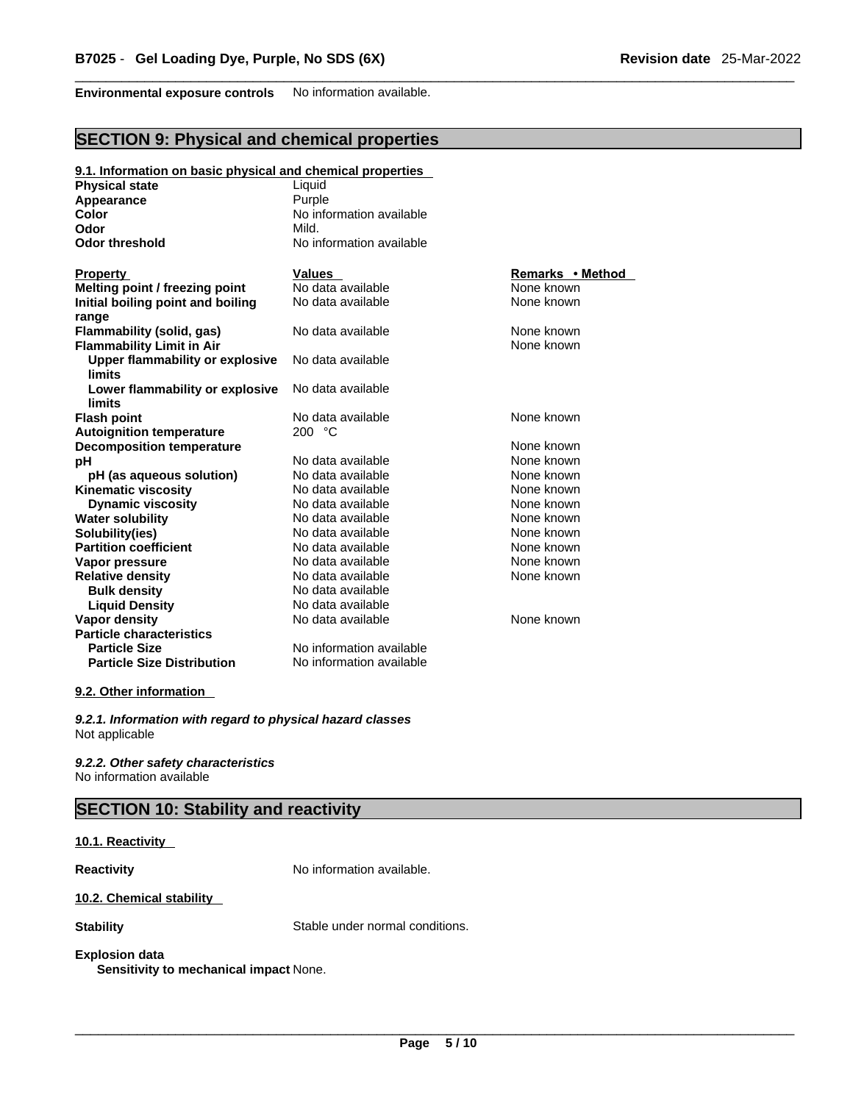**Environmental exposure controls** No information available.

# **SECTION 9: Physical and chemical properties**

| 9.1. Information on basic physical and chemical properties |                          |                  |  |
|------------------------------------------------------------|--------------------------|------------------|--|
| <b>Physical state</b>                                      | Liquid                   |                  |  |
| Appearance                                                 | Purple                   |                  |  |
| Color                                                      | No information available |                  |  |
| Odor                                                       | Mild.                    |                  |  |
| <b>Odor threshold</b>                                      | No information available |                  |  |
| <b>Property</b>                                            | <b>Values</b>            | Remarks • Method |  |
| Melting point / freezing point                             | No data available        | None known       |  |
| Initial boiling point and boiling<br>range                 | No data available        | None known       |  |
| <b>Flammability (solid, gas)</b>                           | No data available        | None known       |  |
| <b>Flammability Limit in Air</b>                           |                          | None known       |  |
| Upper flammability or explosive<br><b>limits</b>           | No data available        |                  |  |
| Lower flammability or explosive<br>limits                  | No data available        |                  |  |
| <b>Flash point</b>                                         | No data available        | None known       |  |
| <b>Autoignition temperature</b>                            | 200 °C                   |                  |  |
| <b>Decomposition temperature</b>                           |                          | None known       |  |
| рH                                                         | No data available        | None known       |  |
| pH (as aqueous solution)                                   | No data available        | None known       |  |
| <b>Kinematic viscosity</b>                                 | No data available        | None known       |  |
| <b>Dynamic viscosity</b>                                   | No data available        | None known       |  |
| <b>Water solubility</b>                                    | No data available        | None known       |  |
| Solubility(ies)                                            | No data available        | None known       |  |
| <b>Partition coefficient</b>                               | No data available        | None known       |  |
| Vapor pressure                                             | No data available        | None known       |  |
| <b>Relative density</b>                                    | No data available        | None known       |  |
| <b>Bulk density</b>                                        | No data available        |                  |  |
| <b>Liquid Density</b>                                      | No data available        |                  |  |
| Vapor density                                              | No data available        | None known       |  |
| <b>Particle characteristics</b>                            |                          |                  |  |
| <b>Particle Size</b>                                       | No information available |                  |  |
| <b>Particle Size Distribution</b>                          | No information available |                  |  |

#### **9.2. Other information**

*9.2.1. Information with regard to physical hazard classes* Not applicable

*9.2.2. Other safety characteristics* No information available

# **SECTION 10: Stability and reactivity**

#### **10.1. Reactivity**

**Reactivity No information available.** 

#### **10.2. Chemical stability**

**Stability** Stable under normal conditions.

# **Explosion data**

**Sensitivity to mechanical impact** None.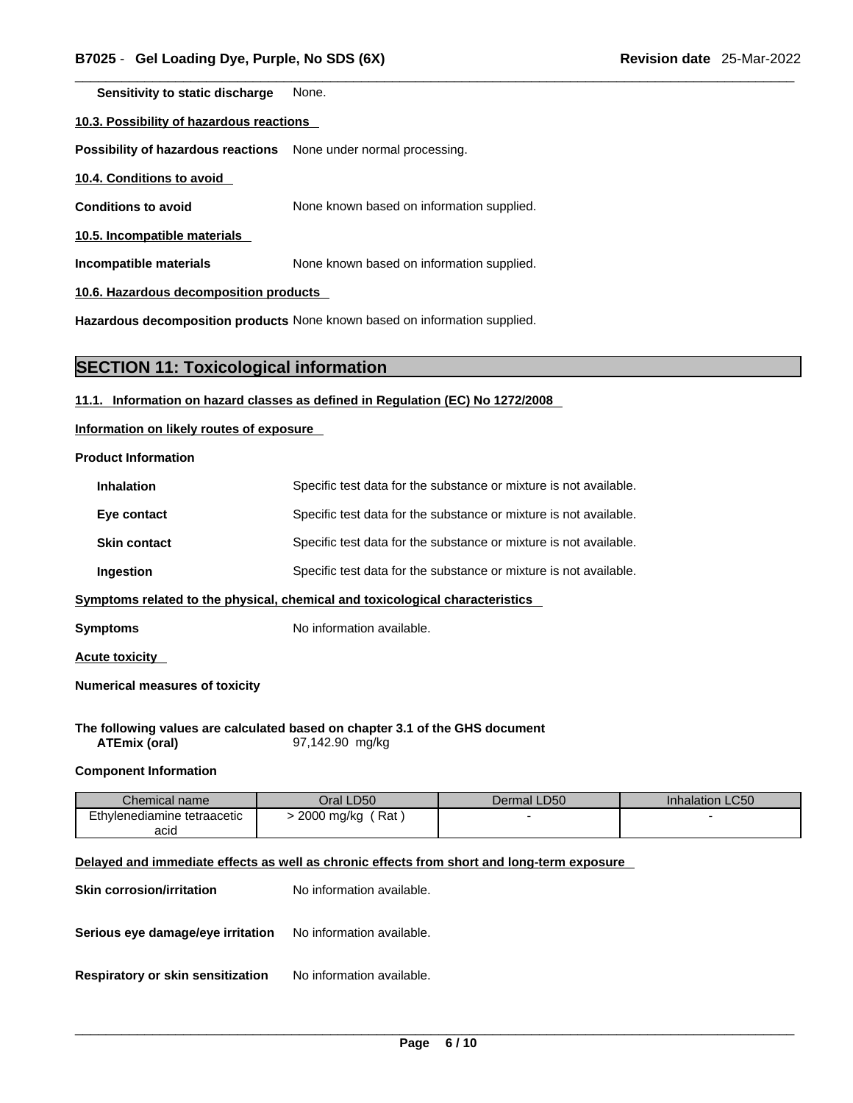**Sensitivity to static discharge** None.

**10.3. Possibility of hazardous reactions**

**Possibility of hazardous reactions** None under normal processing.

**10.4. Conditions to avoid** 

**Conditions to avoid** None known based on information supplied.

**10.5. Incompatible materials**

**Incompatible materials** None known based on information supplied.

**10.6. Hazardous decomposition products** 

**Hazardous decomposition products** None known based on information supplied.

### **SECTION 11: Toxicological information**

#### **11.1. Information on hazard classes as defined in Regulation (EC) No 1272/2008**

**Information on likely routes of exposure**

**Product Information**

| <b>Inhalation</b>                                                            | Specific test data for the substance or mixture is not available. |  |
|------------------------------------------------------------------------------|-------------------------------------------------------------------|--|
| Eye contact                                                                  | Specific test data for the substance or mixture is not available. |  |
| <b>Skin contact</b>                                                          | Specific test data for the substance or mixture is not available. |  |
| Ingestion                                                                    | Specific test data for the substance or mixture is not available. |  |
| Symptoms related to the physical, chemical and toxicological characteristics |                                                                   |  |

**Symptoms** No information available.

**Acute toxicity** 

**Numerical measures of toxicity**

**The following values are calculated based on chapter 3.1 of the GHS document ATEmix (oral)** 97,142.90 mg/kg

#### **Component Information**

| Chemical name               | Oral LD50         | LD50<br>Dermal | <b>Inhalation LC50</b> |
|-----------------------------|-------------------|----------------|------------------------|
| Ethylenediamine tetraacetic | Rat<br>2000 mg/kg |                |                        |
| acid                        |                   |                |                        |

#### **Delayed and immediate effects as well as chronic effects from short and long-term exposure**

| <b>Skin corrosion/irritation</b>  | No information available. |
|-----------------------------------|---------------------------|
| Serious eye damage/eye irritation | No information available. |
| Respiratory or skin sensitization | No information available. |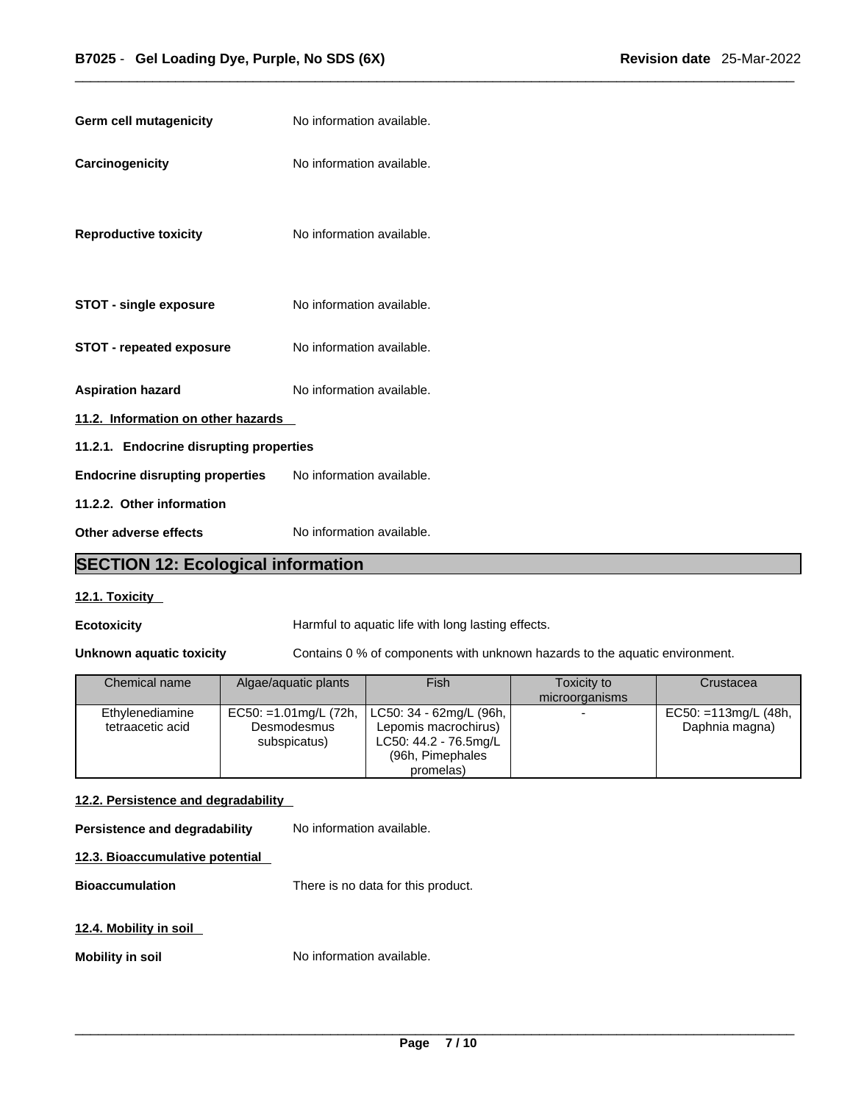| <b>Germ cell mutagenicity</b>           | No information available. |  |
|-----------------------------------------|---------------------------|--|
| Carcinogenicity                         | No information available. |  |
| <b>Reproductive toxicity</b>            | No information available. |  |
| <b>STOT - single exposure</b>           | No information available. |  |
| <b>STOT - repeated exposure</b>         | No information available. |  |
| <b>Aspiration hazard</b>                | No information available. |  |
| 11.2. Information on other hazards      |                           |  |
| 11.2.1. Endocrine disrupting properties |                           |  |
| <b>Endocrine disrupting properties</b>  | No information available. |  |
| 11.2.2. Other information               |                           |  |
| Other adverse effects                   | No information available. |  |

# **SECTION 12: Ecological information**

### **12.1. Toxicity**

**Ecotoxicity Harmful to aquatic life with long lasting effects.** 

**Unknown aquatic toxicity** Contains 0 % of components with unknown hazards to the aquatic environment.

| Chemical name                       | Algae/aquatic plants                                   | Fish                                                                                                        | Toxicity to<br>microorganisms | Crustacea                                 |
|-------------------------------------|--------------------------------------------------------|-------------------------------------------------------------------------------------------------------------|-------------------------------|-------------------------------------------|
| Ethylenediamine<br>tetraacetic acid | EC50: =1.01mg/L $(72h,$<br>Desmodesmus<br>subspicatus) | LC50: 34 - 62mg/L (96h,  <br>Lepomis macrochirus)<br>LC50: 44.2 - 76.5mg/L<br>(96h, Pimephales<br>promelas) |                               | $EC50: = 113mg/L (48h,$<br>Daphnia magna) |

#### **12.2. Persistence and degradability**

**Persistence and degradability** No information available.

### **12.3. Bioaccumulative potential**

**Bioaccumulation** There is no data for this product.

#### **12.4. Mobility in soil**

**Mobility in soil** No information available.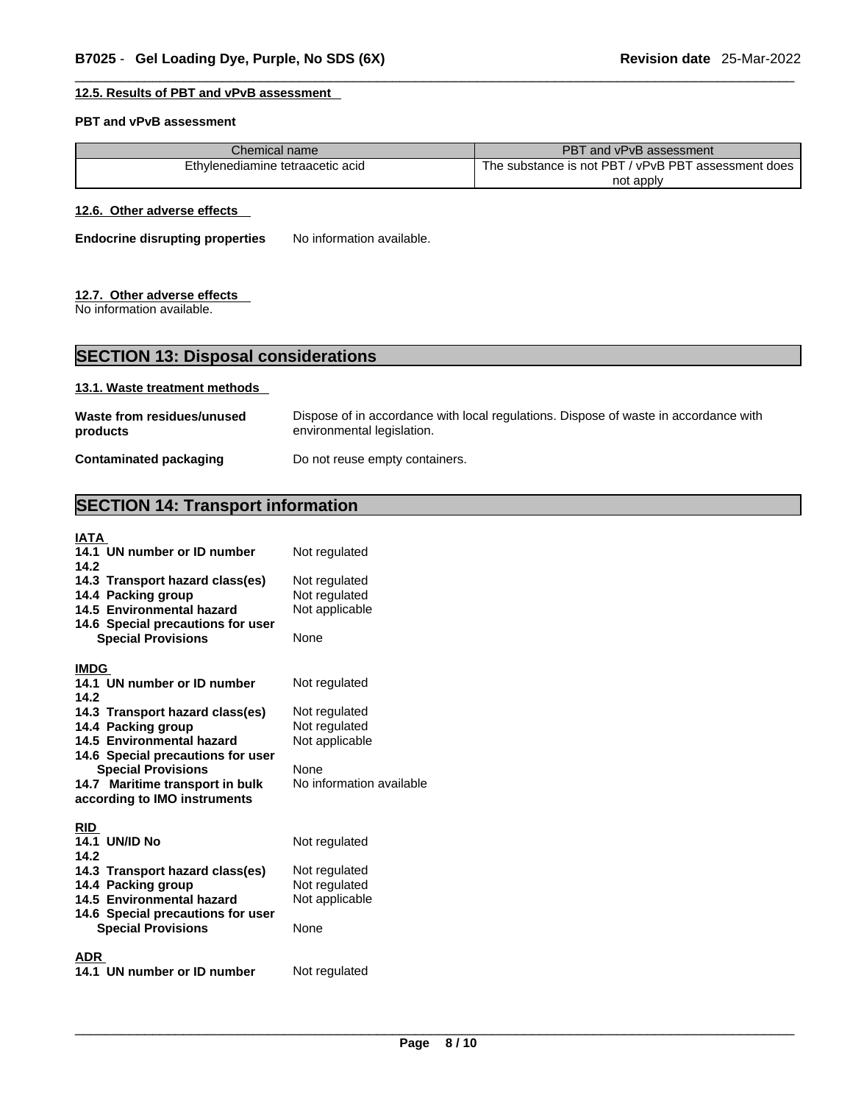#### **12.5. Results of PBT and vPvB assessment**

#### **PBT and vPvB assessment**

| Chemical name.                   | <b>PBT</b><br>Tand vPvB assessment                         |
|----------------------------------|------------------------------------------------------------|
| Ethvlenediamine tetraacetic acid | / vPvB PBT<br>The substance is not PBT.<br>assessment does |
|                                  | not apply                                                  |

#### **12.6. Other adverse effects**

**Endocrine disrupting properties** No information available.

#### **12.7. Other adverse effects**

No information available.

# **SECTION 13: Disposal considerations**

#### **13.1. Waste treatment methods**

| Waste from residues/unused    | Dispose of in accordance with local regulations. Dispose of waste in accordance with |
|-------------------------------|--------------------------------------------------------------------------------------|
| products                      | environmental legislation.                                                           |
| <b>Contaminated packaging</b> | Do not reuse empty containers.                                                       |

# **SECTION 14: Transport information**

| IATA<br>14.1 UN number or ID number<br>Not regulated<br>14.2 |  |
|--------------------------------------------------------------|--|
| 14.3 Transport hazard class(es)<br>Not regulated             |  |
| Not regulated<br>14.4 Packing group                          |  |
| 14.5 Environmental hazard<br>Not applicable                  |  |
| 14.6 Special precautions for user                            |  |
| <b>Special Provisions</b><br>None                            |  |
|                                                              |  |
| <b>IMDG</b>                                                  |  |
| 14.1 UN number or ID number<br>Not regulated                 |  |
| 14.2                                                         |  |
| 14.3 Transport hazard class(es)<br>Not regulated             |  |
| Not regulated<br>14.4 Packing group                          |  |
| 14.5 Environmental hazard<br>Not applicable                  |  |
| 14.6 Special precautions for user                            |  |
| <b>Special Provisions</b><br>None                            |  |
| No information available<br>14.7 Maritime transport in bulk  |  |
| according to IMO instruments                                 |  |
|                                                              |  |
| <b>RID</b>                                                   |  |
| 14.1 UN/ID No<br>Not regulated                               |  |
| 14.2                                                         |  |
| 14.3 Transport hazard class(es)<br>Not regulated             |  |
| 14.4 Packing group<br>Not regulated                          |  |
| Not applicable<br>14.5 Environmental hazard                  |  |
| 14.6 Special precautions for user                            |  |
| None<br><b>Special Provisions</b>                            |  |
|                                                              |  |
| ADR.                                                         |  |
| 14.1 UN number or ID number<br>Not regulated                 |  |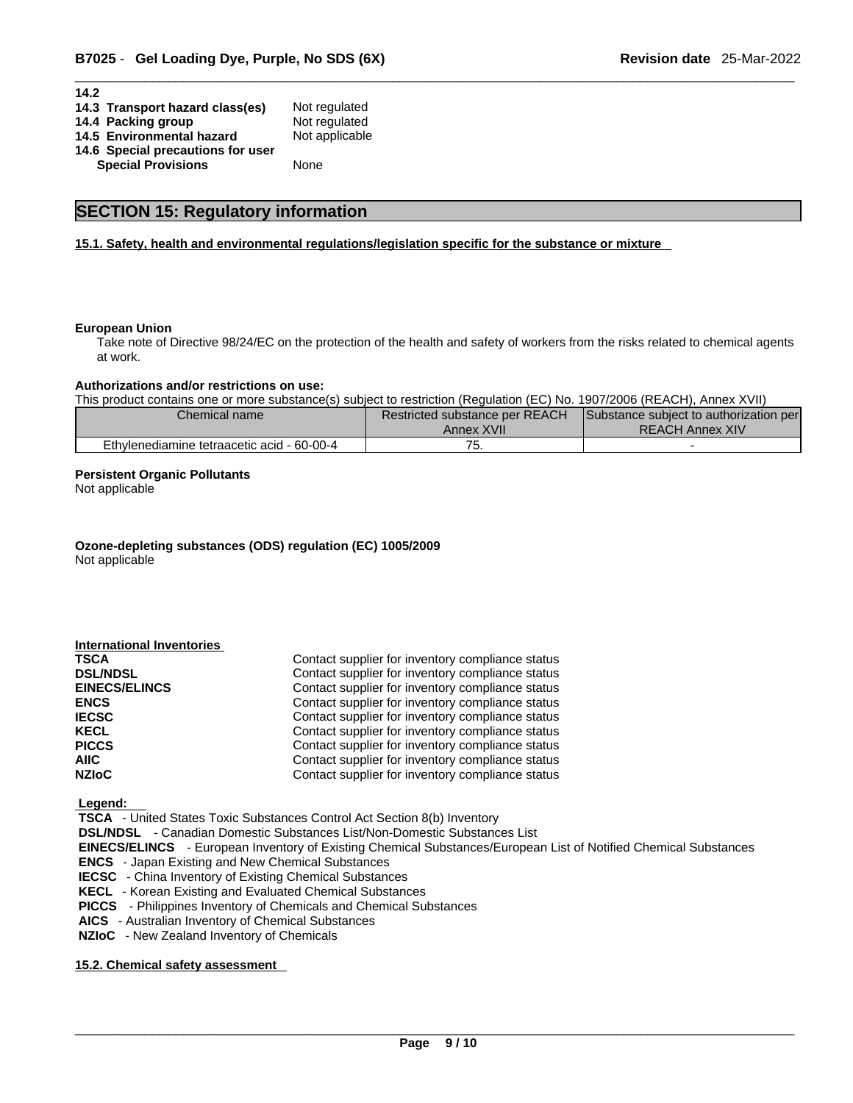| 14.2                              |                |
|-----------------------------------|----------------|
| 14.3 Transport hazard class(es)   | Not regulated  |
| 14.4 Packing group                | Not regulated  |
| 14.5 Environmental hazard         | Not applicable |
| 14.6 Special precautions for user |                |
| <b>Special Provisions</b>         | None           |

### **SECTION 15: Regulatory information**

#### **15.1. Safety, health and environmental regulations/legislation specific for the substance or mixture**

#### **European Union**

Take note of Directive 98/24/EC on the protection of the health and safety of workers from the risks related to chemical agents at work.

#### **Authorizations and/or restrictions on use:**

This product contains one or more substance(s) subject to restriction (Regulation (EC) No. 1907/2006 (REACH), Annex XVII)

| Chemical name                              | Restricted substance per REACH<br>Annex XVII | Substance subject to authorization per<br><b>REACH Annex XIV</b> |  |
|--------------------------------------------|----------------------------------------------|------------------------------------------------------------------|--|
| Ethylenediamine tetraacetic acid - 60-00-4 | ັ                                            |                                                                  |  |

#### **Persistent Organic Pollutants**

Not applicable

**Ozone-depleting substances (ODS) regulation (EC) 1005/2009** Not applicable

| Contact supplier for inventory compliance status<br>TSCA<br>Contact supplier for inventory compliance status<br><b>DSL/NDSL</b><br>Contact supplier for inventory compliance status<br><b>EINECS/ELINCS</b><br>Contact supplier for inventory compliance status<br><b>ENCS</b><br>Contact supplier for inventory compliance status<br><b>IECSC</b><br>Contact supplier for inventory compliance status<br>KECL<br>Contact supplier for inventory compliance status<br><b>PICCS</b><br>AIIC-<br>Contact supplier for inventory compliance status<br>Contact supplier for inventory compliance status<br><b>NZIoC</b> | <b>International Inventories</b> |  |
|---------------------------------------------------------------------------------------------------------------------------------------------------------------------------------------------------------------------------------------------------------------------------------------------------------------------------------------------------------------------------------------------------------------------------------------------------------------------------------------------------------------------------------------------------------------------------------------------------------------------|----------------------------------|--|
|                                                                                                                                                                                                                                                                                                                                                                                                                                                                                                                                                                                                                     |                                  |  |
|                                                                                                                                                                                                                                                                                                                                                                                                                                                                                                                                                                                                                     |                                  |  |
|                                                                                                                                                                                                                                                                                                                                                                                                                                                                                                                                                                                                                     |                                  |  |
|                                                                                                                                                                                                                                                                                                                                                                                                                                                                                                                                                                                                                     |                                  |  |
|                                                                                                                                                                                                                                                                                                                                                                                                                                                                                                                                                                                                                     |                                  |  |
|                                                                                                                                                                                                                                                                                                                                                                                                                                                                                                                                                                                                                     |                                  |  |
|                                                                                                                                                                                                                                                                                                                                                                                                                                                                                                                                                                                                                     |                                  |  |
|                                                                                                                                                                                                                                                                                                                                                                                                                                                                                                                                                                                                                     |                                  |  |
|                                                                                                                                                                                                                                                                                                                                                                                                                                                                                                                                                                                                                     |                                  |  |

 **Legend:** 

 **TSCA** - United States Toxic Substances Control Act Section 8(b) Inventory

 **DSL/NDSL** - Canadian Domestic Substances List/Non-Domestic Substances List

 **EINECS/ELINCS** - European Inventory of Existing Chemical Substances/European List of Notified Chemical Substances

 **ENCS** - Japan Existing and New Chemical Substances

 **IECSC** - China Inventory of Existing Chemical Substances

 **KECL** - Korean Existing and Evaluated Chemical Substances

 **PICCS** - Philippines Inventory of Chemicals and Chemical Substances

 **AICS** - Australian Inventory of Chemical Substances

 **NZIoC** - New Zealand Inventory of Chemicals

#### **15.2. Chemical safety assessment**